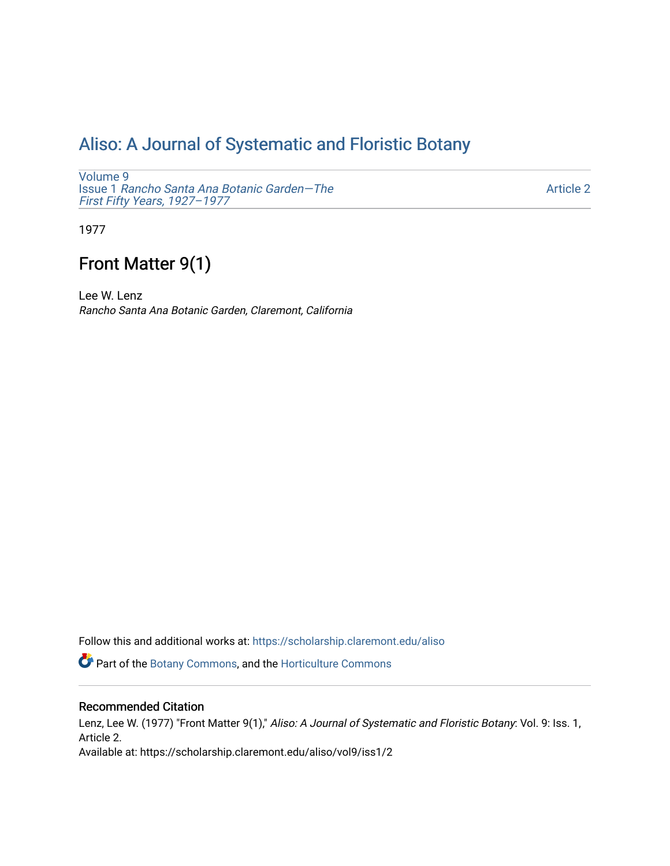# [Aliso: A Journal of Systematic and Floristic Botany](https://scholarship.claremont.edu/aliso)

[Volume 9](https://scholarship.claremont.edu/aliso/vol9) Issue 1 [Rancho Santa Ana Botanic Garden—The](https://scholarship.claremont.edu/aliso/vol9/iss1) [First Fifty Years, 1927–1977](https://scholarship.claremont.edu/aliso/vol9/iss1) 

[Article 2](https://scholarship.claremont.edu/aliso/vol9/iss1/2) 

1977

# Front Matter 9(1)

Lee W. Lenz Rancho Santa Ana Botanic Garden, Claremont, California

Follow this and additional works at: [https://scholarship.claremont.edu/aliso](https://scholarship.claremont.edu/aliso?utm_source=scholarship.claremont.edu%2Faliso%2Fvol9%2Fiss1%2F2&utm_medium=PDF&utm_campaign=PDFCoverPages) 

Part of the [Botany Commons,](https://network.bepress.com/hgg/discipline/104?utm_source=scholarship.claremont.edu%2Faliso%2Fvol9%2Fiss1%2F2&utm_medium=PDF&utm_campaign=PDFCoverPages) and the [Horticulture Commons](https://network.bepress.com/hgg/discipline/105?utm_source=scholarship.claremont.edu%2Faliso%2Fvol9%2Fiss1%2F2&utm_medium=PDF&utm_campaign=PDFCoverPages)

### Recommended Citation

Lenz, Lee W. (1977) "Front Matter 9(1)," Aliso: A Journal of Systematic and Floristic Botany: Vol. 9: Iss. 1, Article 2. Available at: https://scholarship.claremont.edu/aliso/vol9/iss1/2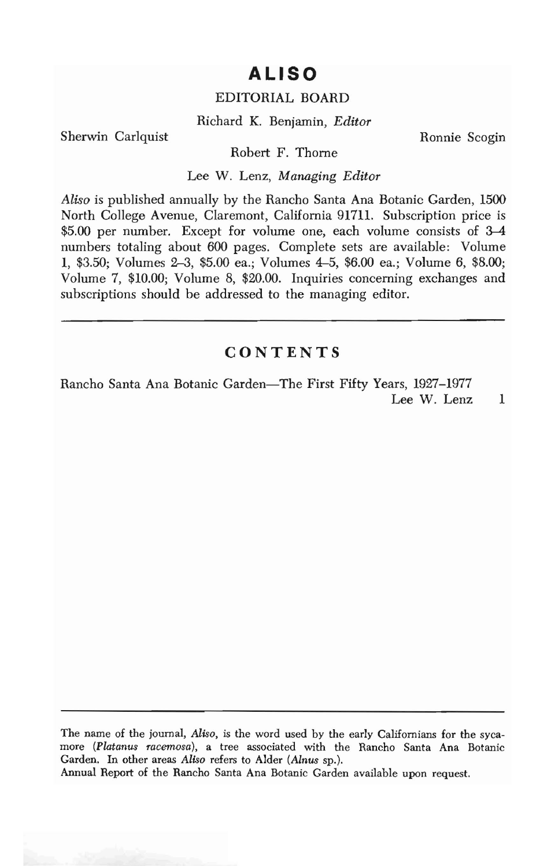## **ALISO**

#### EDITORIAL BOARD

Richard K. Benjamin, *Editor* 

Sherwin Carlquist **Ronnie Scogin** 

Robert F. Thome

Lee W. Lenz, *Managing Editor* 

*Aliso* is published annually by the Rancho Santa Ana Botanic Garden, 1500 North College Avenue, Claremont, California 91711. Subscription price is \$5.00 per number. Except for volume one, each volume consists of 3-4 numbers totaling about 600 pages. Complete sets are available: Volume 1, \$3.50; Volumes 2-3, \$5.00 ea.; Volumes 4-5, \$6.00 ea.; Volume 6, \$8.00; Volume 7, \$10.00; Volume 8, \$20.00. Inquiries concerning exchanges and subscriptions should be addressed to the managing editor.

## **CONTENTS**

Rancho Santa Ana Botanic Garden-The First Fifty Years, 1927-1977 Lee W. Lenz 1

The name of the journal, *Aliso,* is the word used by the early Californians for the sycamore *(Platanus racemosa),* a tree associated with the Rancho Santa Ana Botanic Garden. In other areas *Aliso* refers to Alder *(Alnus* sp.).

Annual Report of the Rancho Santa Ana Botanic Garden available upon request.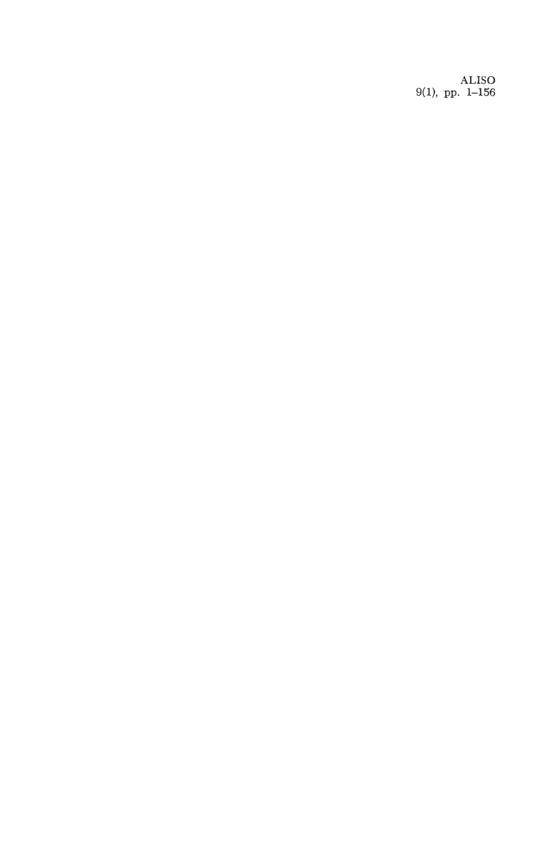ALISO 9(1), pp. 1-156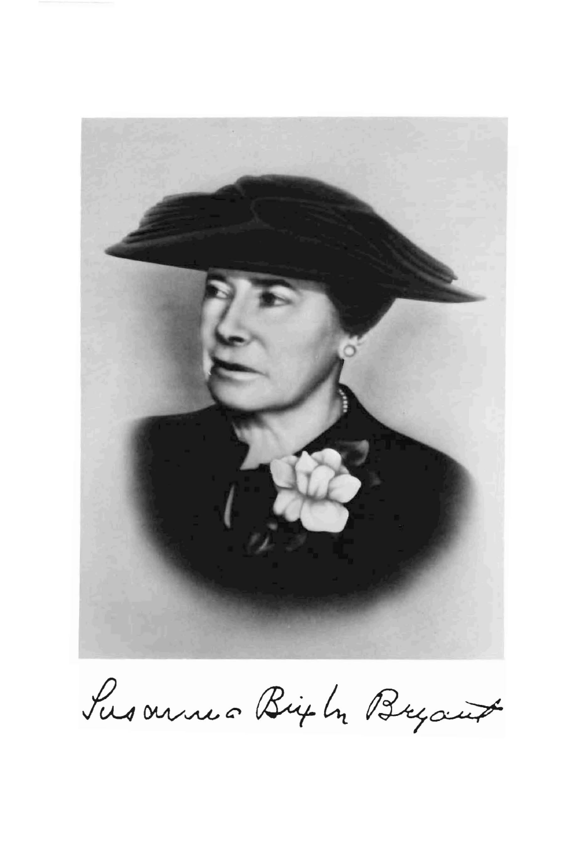

Susannes Bigh Bryant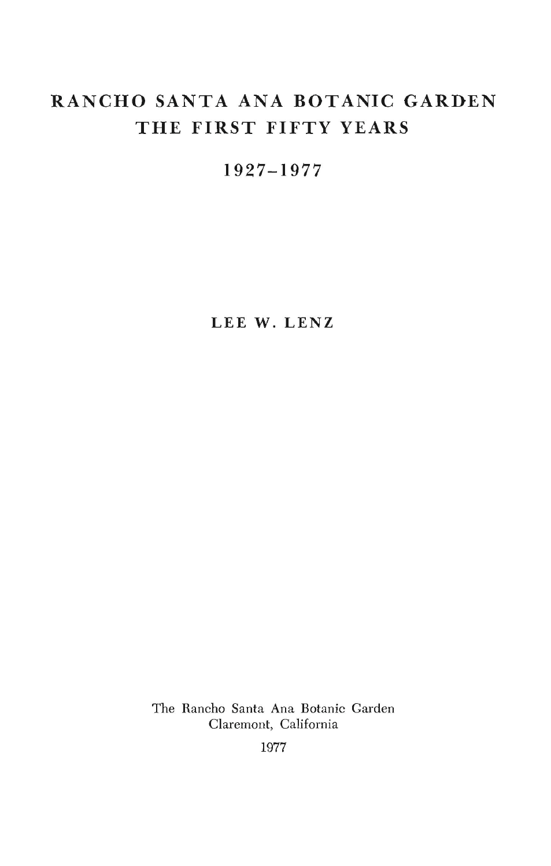## **RANCHO SANTA ANA BOTANIC GARDEN THE FIRST FIFTY YEARS**

**1927-1977** 

**LEE W. LENZ** 

The Rancho Santa Ana Botanic Garden Claremont, California

1977